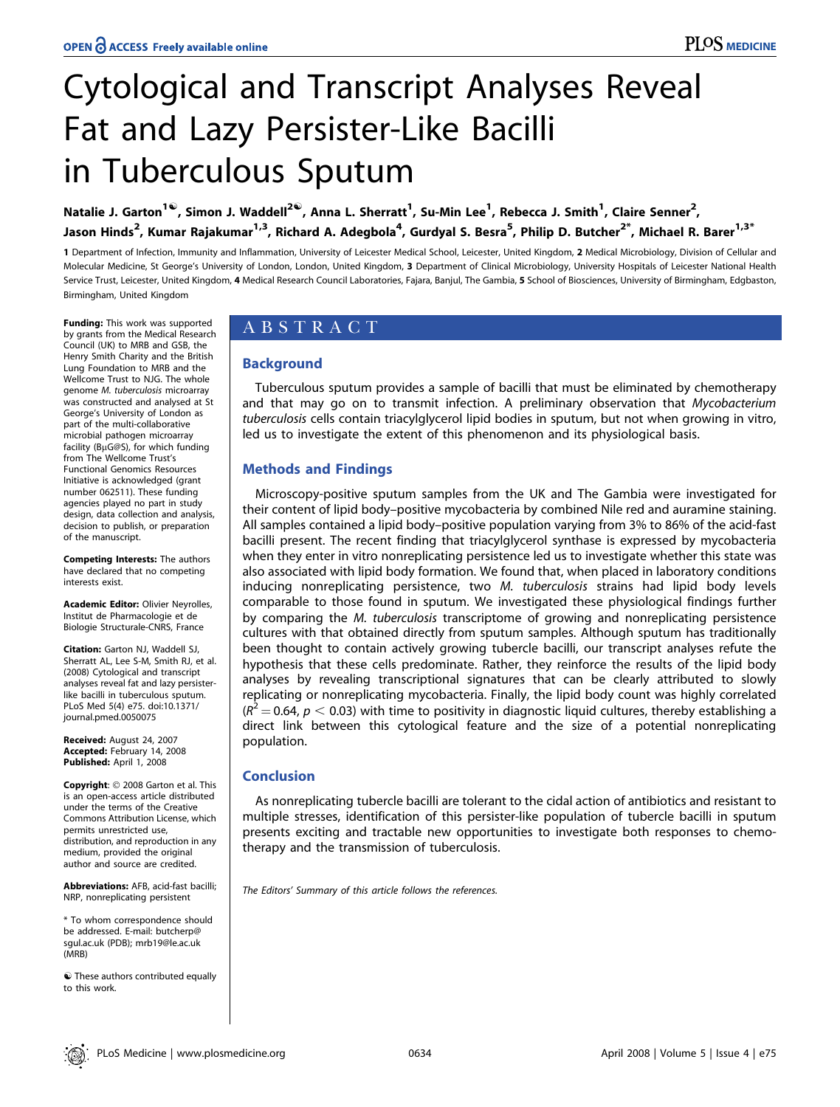# Cytological and Transcript Analyses Reveal Fat and Lazy Persister-Like Bacilli in Tuberculous Sputum

Natalie J. Garton $^{1\mathbb{Q}}$ , Simon J. Waddell $^{2\mathbb{Q}}$ , Anna L. Sherratt $^{1}$ , Su-Min Lee $^{1}$ , Rebecca J. Smith $^{1}$ , Claire Senner $^{2}$ , Jason Hinds<sup>2</sup>, Kumar Rajakumar<sup>1,3</sup>, Richard A. Adegbola<sup>4</sup>, Gurdyal S. Besra<sup>5</sup>, Philip D. Butcher<sup>2\*</sup>, Michael R. Barer<sup>1,3\*</sup>

1 Department of Infection, Immunity and Inflammation, University of Leicester Medical School, Leicester, United Kingdom, 2 Medical Microbiology, Division of Cellular and Molecular Medicine, St George's University of London, London, United Kingdom, 3 Department of Clinical Microbiology, University Hospitals of Leicester National Health Service Trust, Leicester, United Kingdom, 4 Medical Research Council Laboratories, Fajara, Banjul, The Gambia, 5 School of Biosciences, University of Birmingham, Edgbaston, Birmingham, United Kingdom

Funding: This work was supported by grants from the Medical Research Council (UK) to MRB and GSB, the Henry Smith Charity and the British Lung Foundation to MRB and the Wellcome Trust to NJG. The whole genome M. tuberculosis microarray was constructed and analysed at St George's University of London as part of the multi-collaborative microbial pathogen microarray facility (BµG@S), for which funding from The Wellcome Trust's Functional Genomics Resources Initiative is acknowledged (grant number 062511). These funding agencies played no part in study design, data collection and analysis. decision to publish, or preparation of the manuscript.

Competing Interests: The authors have declared that no competing interests exist.

Academic Editor: Olivier Neyrolles, Institut de Pharmacologie et de Biologie Structurale-CNRS, France

Citation: Garton NJ, Waddell SJ, Sherratt AL, Lee S-M, Smith RJ, et al. (2008) Cytological and transcript analyses reveal fat and lazy persisterlike bacilli in tuberculous sputum. PLoS Med 5(4) e75. doi:10.1371/ journal.pmed.0050075

Received: August 24, 2007 Accepted: February 14, 2008 Published: April 1, 2008

Copyright: © 2008 Garton et al. This is an open-access article distributed under the terms of the Creative Commons Attribution License, which permits unrestricted use, distribution, and reproduction in any medium, provided the original author and source are credited.

Abbreviations: AFB, acid-fast bacilli; NRP, nonreplicating persistent

\* To whom correspondence should be addressed. E-mail: butcherp@ sgul.ac.uk (PDB); mrb19@le.ac.uk (MRB)

 $\hat{\mathbf{v}}$  These authors contributed equally to this work.

# ABSTRACT

## Background

Tuberculous sputum provides a sample of bacilli that must be eliminated by chemotherapy and that may go on to transmit infection. A preliminary observation that Mycobacterium tuberculosis cells contain triacylglycerol lipid bodies in sputum, but not when growing in vitro, led us to investigate the extent of this phenomenon and its physiological basis.

# Methods and Findings

Microscopy-positive sputum samples from the UK and The Gambia were investigated for their content of lipid body–positive mycobacteria by combined Nile red and auramine staining. All samples contained a lipid body–positive population varying from 3% to 86% of the acid-fast bacilli present. The recent finding that triacylglycerol synthase is expressed by mycobacteria when they enter in vitro nonreplicating persistence led us to investigate whether this state was also associated with lipid body formation. We found that, when placed in laboratory conditions inducing nonreplicating persistence, two M. tuberculosis strains had lipid body levels comparable to those found in sputum. We investigated these physiological findings further by comparing the M. tuberculosis transcriptome of growing and nonreplicating persistence cultures with that obtained directly from sputum samples. Although sputum has traditionally been thought to contain actively growing tubercle bacilli, our transcript analyses refute the hypothesis that these cells predominate. Rather, they reinforce the results of the lipid body analyses by revealing transcriptional signatures that can be clearly attributed to slowly replicating or nonreplicating mycobacteria. Finally, the lipid body count was highly correlated  $(R^2 = 0.64, p < 0.03)$  with time to positivity in diagnostic liquid cultures, thereby establishing a direct link between this cytological feature and the size of a potential nonreplicating population.

## Conclusion

As nonreplicating tubercle bacilli are tolerant to the cidal action of antibiotics and resistant to multiple stresses, identification of this persister-like population of tubercle bacilli in sputum presents exciting and tractable new opportunities to investigate both responses to chemotherapy and the transmission of tuberculosis.

The Editors' Summary of this article follows the references.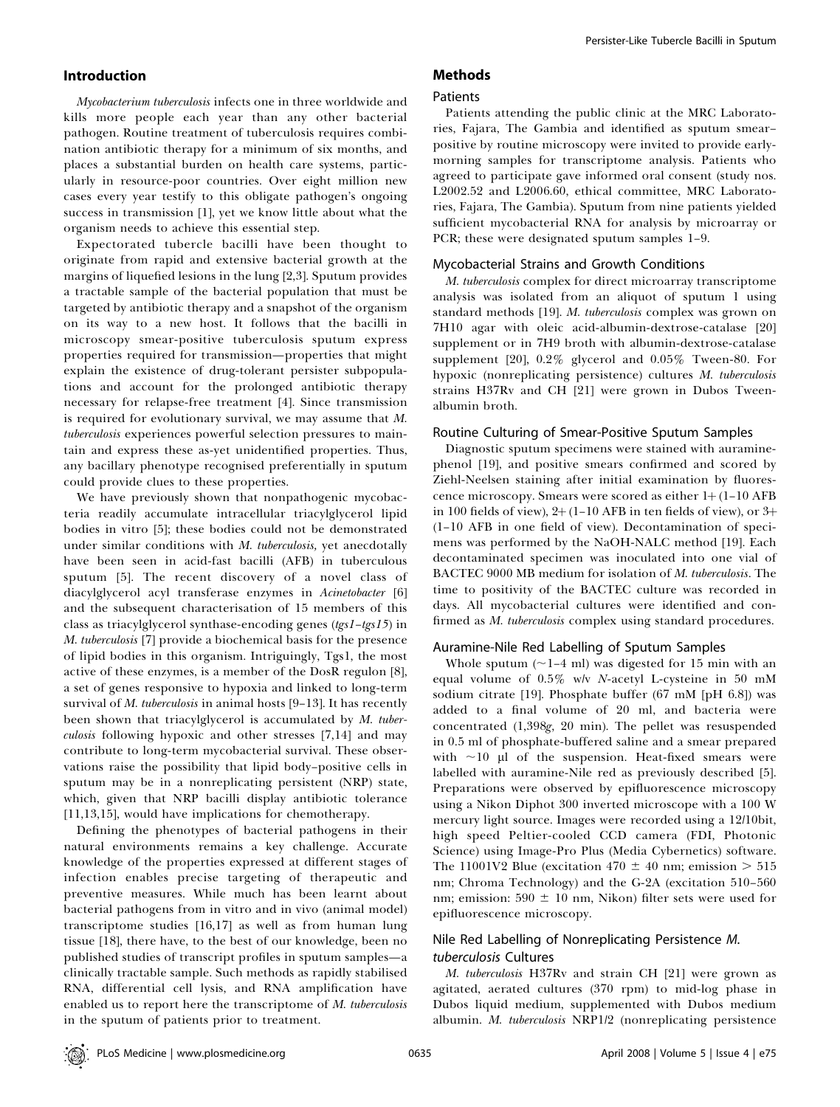## Introduction

Mycobacterium tuberculosis infects one in three worldwide and kills more people each year than any other bacterial pathogen. Routine treatment of tuberculosis requires combination antibiotic therapy for a minimum of six months, and places a substantial burden on health care systems, particularly in resource-poor countries. Over eight million new cases every year testify to this obligate pathogen's ongoing success in transmission [1], yet we know little about what the organism needs to achieve this essential step.

Expectorated tubercle bacilli have been thought to originate from rapid and extensive bacterial growth at the margins of liquefied lesions in the lung [2,3]. Sputum provides a tractable sample of the bacterial population that must be targeted by antibiotic therapy and a snapshot of the organism on its way to a new host. It follows that the bacilli in microscopy smear-positive tuberculosis sputum express properties required for transmission—properties that might explain the existence of drug-tolerant persister subpopulations and account for the prolonged antibiotic therapy necessary for relapse-free treatment [4]. Since transmission is required for evolutionary survival, we may assume that  $M$ . tuberculosis experiences powerful selection pressures to maintain and express these as-yet unidentified properties. Thus, any bacillary phenotype recognised preferentially in sputum could provide clues to these properties.

We have previously shown that nonpathogenic mycobacteria readily accumulate intracellular triacylglycerol lipid bodies in vitro [5]; these bodies could not be demonstrated under similar conditions with M. tuberculosis, yet anecdotally have been seen in acid-fast bacilli (AFB) in tuberculous sputum [5]. The recent discovery of a novel class of diacylglycerol acyl transferase enzymes in Acinetobacter [6] and the subsequent characterisation of 15 members of this class as triacylglycerol synthase-encoding genes (tgs1–tgs15) in M. tuberculosis [7] provide a biochemical basis for the presence of lipid bodies in this organism. Intriguingly, Tgs1, the most active of these enzymes, is a member of the DosR regulon [8], a set of genes responsive to hypoxia and linked to long-term survival of *M. tuberculosis* in animal hosts [9–13]. It has recently been shown that triacylglycerol is accumulated by *M. tuber*culosis following hypoxic and other stresses [7,14] and may contribute to long-term mycobacterial survival. These observations raise the possibility that lipid body–positive cells in sputum may be in a nonreplicating persistent (NRP) state, which, given that NRP bacilli display antibiotic tolerance [11,13,15], would have implications for chemotherapy.

Defining the phenotypes of bacterial pathogens in their natural environments remains a key challenge. Accurate knowledge of the properties expressed at different stages of infection enables precise targeting of therapeutic and preventive measures. While much has been learnt about bacterial pathogens from in vitro and in vivo (animal model) transcriptome studies [16,17] as well as from human lung tissue [18], there have, to the best of our knowledge, been no published studies of transcript profiles in sputum samples—a clinically tractable sample. Such methods as rapidly stabilised RNA, differential cell lysis, and RNA amplification have enabled us to report here the transcriptome of M. tuberculosis in the sputum of patients prior to treatment.

#### Methods

#### Patients

Patients attending the public clinic at the MRC Laboratories, Fajara, The Gambia and identified as sputum smear– positive by routine microscopy were invited to provide earlymorning samples for transcriptome analysis. Patients who agreed to participate gave informed oral consent (study nos. L2002.52 and L2006.60, ethical committee, MRC Laboratories, Fajara, The Gambia). Sputum from nine patients yielded sufficient mycobacterial RNA for analysis by microarray or PCR; these were designated sputum samples 1–9.

#### Mycobacterial Strains and Growth Conditions

M. tuberculosis complex for direct microarray transcriptome analysis was isolated from an aliquot of sputum 1 using standard methods [19]. M. tuberculosis complex was grown on 7H10 agar with oleic acid-albumin-dextrose-catalase [20] supplement or in 7H9 broth with albumin-dextrose-catalase supplement [20], 0.2% glycerol and 0.05% Tween-80. For hypoxic (nonreplicating persistence) cultures M. tuberculosis strains H37Rv and CH [21] were grown in Dubos Tweenalbumin broth.

#### Routine Culturing of Smear-Positive Sputum Samples

Diagnostic sputum specimens were stained with auraminephenol [19], and positive smears confirmed and scored by Ziehl-Neelsen staining after initial examination by fluorescence microscopy. Smears were scored as either  $1+(1-10$  AFB in 100 fields of view),  $2+(1-10$  AFB in ten fields of view), or  $3+$ (1–10 AFB in one field of view). Decontamination of specimens was performed by the NaOH-NALC method [19]. Each decontaminated specimen was inoculated into one vial of BACTEC 9000 MB medium for isolation of M. tuberculosis. The time to positivity of the BACTEC culture was recorded in days. All mycobacterial cultures were identified and confirmed as M. tuberculosis complex using standard procedures.

#### Auramine-Nile Red Labelling of Sputum Samples

Whole sputum  $(\sim1-4$  ml) was digested for 15 min with an equal volume of 0.5% w/v N-acetyl L-cysteine in 50 mM sodium citrate [19]. Phosphate buffer (67 mM [pH 6.8]) was added to a final volume of 20 ml, and bacteria were concentrated (1,398g, 20 min). The pellet was resuspended in 0.5 ml of phosphate-buffered saline and a smear prepared with  $\sim$ 10 µl of the suspension. Heat-fixed smears were labelled with auramine-Nile red as previously described [5]. Preparations were observed by epifluorescence microscopy using a Nikon Diphot 300 inverted microscope with a 100 W mercury light source. Images were recorded using a 12/10bit, high speed Peltier-cooled CCD camera (FDI, Photonic Science) using Image-Pro Plus (Media Cybernetics) software. The 11001V2 Blue (excitation  $470 \pm 40$  nm; emission  $> 515$ nm; Chroma Technology) and the G-2A (excitation 510–560 nm; emission:  $590 \pm 10$  nm, Nikon) filter sets were used for epifluorescence microscopy.

## Nile Red Labelling of Nonreplicating Persistence M. tuberculosis Cultures

M. tuberculosis H37Rv and strain CH [21] were grown as agitated, aerated cultures (370 rpm) to mid-log phase in Dubos liquid medium, supplemented with Dubos medium albumin. M. tuberculosis NRP1/2 (nonreplicating persistence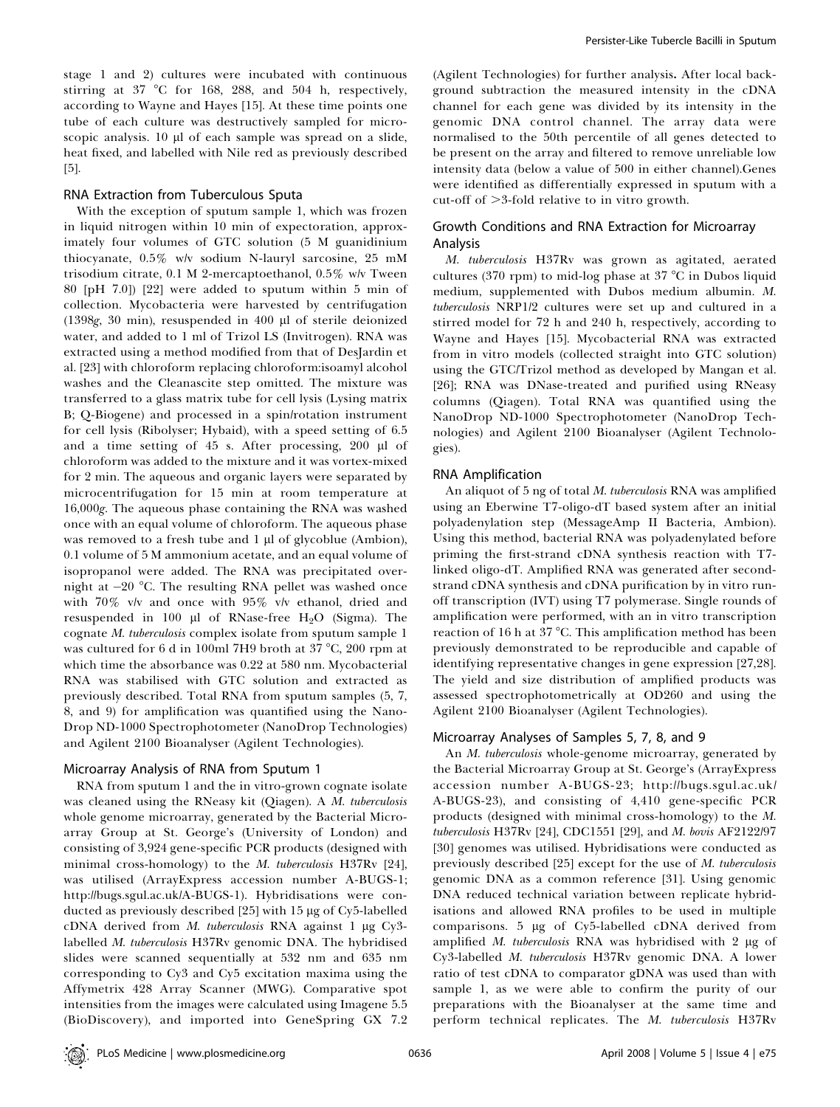stage 1 and 2) cultures were incubated with continuous stirring at  $37 \text{ °C}$  for 168, 288, and 504 h, respectively, according to Wayne and Hayes [15]. At these time points one tube of each culture was destructively sampled for microscopic analysis. 10 µl of each sample was spread on a slide, heat fixed, and labelled with Nile red as previously described [5].

## RNA Extraction from Tuberculous Sputa

With the exception of sputum sample 1, which was frozen in liquid nitrogen within 10 min of expectoration, approximately four volumes of GTC solution (5 M guanidinium thiocyanate, 0.5% w/v sodium N-lauryl sarcosine, 25 mM trisodium citrate, 0.1 M 2-mercaptoethanol, 0.5% w/v Tween 80 [pH 7.0]) [22] were added to sputum within 5 min of collection. Mycobacteria were harvested by centrifugation  $(1398g, 30 \text{ min})$ , resuspended in 400 µl of sterile deionized water, and added to 1 ml of Trizol LS (Invitrogen). RNA was extracted using a method modified from that of DesJardin et al. [23] with chloroform replacing chloroform:isoamyl alcohol washes and the Cleanascite step omitted. The mixture was transferred to a glass matrix tube for cell lysis (Lysing matrix B; Q-Biogene) and processed in a spin/rotation instrument for cell lysis (Ribolyser; Hybaid), with a speed setting of 6.5 and a time setting of  $45$  s. After processing,  $200 \mu l$  of chloroform was added to the mixture and it was vortex-mixed for 2 min. The aqueous and organic layers were separated by microcentrifugation for 15 min at room temperature at 16,000g. The aqueous phase containing the RNA was washed once with an equal volume of chloroform. The aqueous phase was removed to a fresh tube and 1 µl of glycoblue (Ambion), 0.1 volume of 5 M ammonium acetate, and an equal volume of isopropanol were added. The RNA was precipitated overnight at -20 °C. The resulting RNA pellet was washed once with 70% v/v and once with 95% v/v ethanol, dried and resuspended in 100  $\mu$ l of RNase-free H<sub>2</sub>O (Sigma). The cognate M. tuberculosis complex isolate from sputum sample 1 was cultured for 6 d in 100ml 7H9 broth at  $37 \degree C$ , 200 rpm at which time the absorbance was 0.22 at 580 nm. Mycobacterial RNA was stabilised with GTC solution and extracted as previously described. Total RNA from sputum samples (5, 7, 8, and 9) for amplification was quantified using the Nano-Drop ND-1000 Spectrophotometer (NanoDrop Technologies) and Agilent 2100 Bioanalyser (Agilent Technologies).

#### Microarray Analysis of RNA from Sputum 1

RNA from sputum 1 and the in vitro-grown cognate isolate was cleaned using the RNeasy kit (Qiagen). A M. tuberculosis whole genome microarray, generated by the Bacterial Microarray Group at St. George's (University of London) and consisting of 3,924 gene-specific PCR products (designed with minimal cross-homology) to the M. tuberculosis H37Rv [24], was utilised (ArrayExpress accession number A-BUGS-1; http://bugs.sgul.ac.uk/A-BUGS-1). Hybridisations were conducted as previously described [25] with 15 µg of Cy5-labelled cDNA derived from M. tuberculosis RNA against 1 µg Cy3labelled M. tuberculosis H37Rv genomic DNA. The hybridised slides were scanned sequentially at 532 nm and 635 nm corresponding to Cy3 and Cy5 excitation maxima using the Affymetrix 428 Array Scanner (MWG). Comparative spot intensities from the images were calculated using Imagene 5.5 (BioDiscovery), and imported into GeneSpring GX 7.2

(Agilent Technologies) for further analysis. After local background subtraction the measured intensity in the cDNA channel for each gene was divided by its intensity in the genomic DNA control channel. The array data were normalised to the 50th percentile of all genes detected to be present on the array and filtered to remove unreliable low intensity data (below a value of 500 in either channel).Genes were identified as differentially expressed in sputum with a cut-off of  $>3$ -fold relative to in vitro growth.

## Growth Conditions and RNA Extraction for Microarray Analysis

M. tuberculosis H37Rv was grown as agitated, aerated cultures (370 rpm) to mid-log phase at  $37^{\circ}$ C in Dubos liquid medium, supplemented with Dubos medium albumin. M. tuberculosis NRP1/2 cultures were set up and cultured in a stirred model for 72 h and 240 h, respectively, according to Wayne and Hayes [15]. Mycobacterial RNA was extracted from in vitro models (collected straight into GTC solution) using the GTC/Trizol method as developed by Mangan et al. [26]; RNA was DNase-treated and purified using RNeasy columns (Qiagen). Total RNA was quantified using the NanoDrop ND-1000 Spectrophotometer (NanoDrop Technologies) and Agilent 2100 Bioanalyser (Agilent Technologies).

#### RNA Amplification

An aliquot of 5 ng of total *M. tuberculosis* RNA was amplified using an Eberwine T7-oligo-dT based system after an initial polyadenylation step (MessageAmp II Bacteria, Ambion). Using this method, bacterial RNA was polyadenylated before priming the first-strand cDNA synthesis reaction with T7 linked oligo-dT. Amplified RNA was generated after secondstrand cDNA synthesis and cDNA purification by in vitro runoff transcription (IVT) using T7 polymerase. Single rounds of amplification were performed, with an in vitro transcription reaction of 16 h at 37 °C. This amplification method has been previously demonstrated to be reproducible and capable of identifying representative changes in gene expression [27,28]. The yield and size distribution of amplified products was assessed spectrophotometrically at OD260 and using the Agilent 2100 Bioanalyser (Agilent Technologies).

## Microarray Analyses of Samples 5, 7, 8, and 9

An *M. tuberculosis* whole-genome microarray, generated by the Bacterial Microarray Group at St. George's (ArrayExpress accession number A-BUGS-23; http://bugs.sgul.ac.uk/ A-BUGS-23), and consisting of 4,410 gene-specific PCR products (designed with minimal cross-homology) to the M. tuberculosis H37Rv [24], CDC1551 [29], and M. bovis AF2122/97 [30] genomes was utilised. Hybridisations were conducted as previously described [25] except for the use of M. tuberculosis genomic DNA as a common reference [31]. Using genomic DNA reduced technical variation between replicate hybridisations and allowed RNA profiles to be used in multiple comparisons. 5 µg of Cy5-labelled cDNA derived from amplified  $M$ . tuberculosis RNA was hybridised with 2  $\mu$ g of Cy3-labelled M. tuberculosis H37Rv genomic DNA. A lower ratio of test cDNA to comparator gDNA was used than with sample 1, as we were able to confirm the purity of our preparations with the Bioanalyser at the same time and perform technical replicates. The M. tuberculosis H37Rv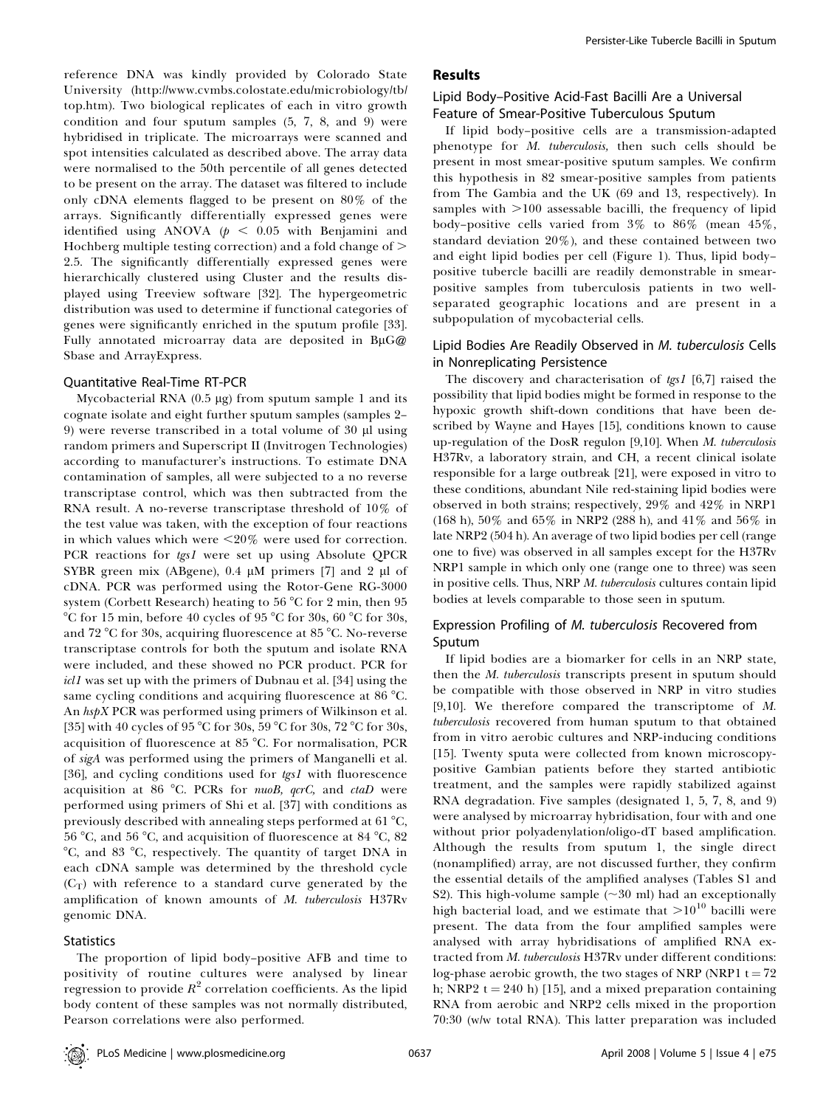reference DNA was kindly provided by Colorado State University (http://www.cvmbs.colostate.edu/microbiology/tb/ top.htm). Two biological replicates of each in vitro growth condition and four sputum samples (5, 7, 8, and 9) were hybridised in triplicate. The microarrays were scanned and spot intensities calculated as described above. The array data were normalised to the 50th percentile of all genes detected to be present on the array. The dataset was filtered to include only cDNA elements flagged to be present on 80% of the arrays. Significantly differentially expressed genes were identified using ANOVA ( $p < 0.05$  with Benjamini and Hochberg multiple testing correction) and a fold change of  $\geq$ 2.5. The significantly differentially expressed genes were hierarchically clustered using Cluster and the results displayed using Treeview software [32]. The hypergeometric distribution was used to determine if functional categories of genes were significantly enriched in the sputum profile [33]. Fully annotated microarray data are deposited in  $B\mu G\omega$ Sbase and ArrayExpress.

## Quantitative Real-Time RT-PCR

Mycobacterial RNA  $(0.5 \mu g)$  from sputum sample 1 and its cognate isolate and eight further sputum samples (samples 2– 9) were reverse transcribed in a total volume of  $30 \mu l$  using random primers and Superscript II (Invitrogen Technologies) according to manufacturer's instructions. To estimate DNA contamination of samples, all were subjected to a no reverse transcriptase control, which was then subtracted from the RNA result. A no-reverse transcriptase threshold of 10% of the test value was taken, with the exception of four reactions in which values which were  $\leq 20\%$  were used for correction. PCR reactions for tgs1 were set up using Absolute QPCR SYBR green mix (ABgene), 0.4  $\mu$ M primers [7] and 2  $\mu$ l of cDNA. PCR was performed using the Rotor-Gene RG-3000 system (Corbett Research) heating to  $56^{\circ}$ C for 2 min, then  $95$  $^{\circ}$ C for 15 min, before 40 cycles of 95  $^{\circ}$ C for 30s, 60  $^{\circ}$ C for 30s, and  $72 \degree C$  for 30s, acquiring fluorescence at  $85 \degree C$ . No-reverse transcriptase controls for both the sputum and isolate RNA were included, and these showed no PCR product. PCR for icl1 was set up with the primers of Dubnau et al. [34] using the same cycling conditions and acquiring fluorescence at  $86^{\circ}$ C. An hspX PCR was performed using primers of Wilkinson et al. [35] with 40 cycles of 95 °C for 30s, 59 °C for 30s, 72 °C for 30s, acquisition of fluorescence at 85 °C. For normalisation, PCR of sigA was performed using the primers of Manganelli et al. [36], and cycling conditions used for tgs1 with fluorescence acquisition at 86 °C. PCRs for *nuoB*,  $qcrC$ , and  $ctaD$  were performed using primers of Shi et al. [37] with conditions as previously described with annealing steps performed at 61  $^{\circ}C$ , 56 °C, and 56 °C, and acquisition of fluorescence at 84 °C, 82  $\rm{^{\circ}C}$ , and 83  $\rm{^{\circ}C}$ , respectively. The quantity of target DNA in each cDNA sample was determined by the threshold cycle  $(C_T)$  with reference to a standard curve generated by the amplification of known amounts of M. tuberculosis H37Rv genomic DNA.

## **Statistics**

The proportion of lipid body–positive AFB and time to positivity of routine cultures were analysed by linear regression to provide  $R^2$  correlation coefficients. As the lipid body content of these samples was not normally distributed, Pearson correlations were also performed.

## Results

## Lipid Body–Positive Acid-Fast Bacilli Are a Universal Feature of Smear-Positive Tuberculous Sputum

If lipid body–positive cells are a transmission-adapted phenotype for M. tuberculosis, then such cells should be present in most smear-positive sputum samples. We confirm this hypothesis in 82 smear-positive samples from patients from The Gambia and the UK (69 and 13, respectively). In samples with  $>100$  assessable bacilli, the frequency of lipid body–positive cells varied from 3% to 86% (mean 45%, standard deviation 20%), and these contained between two and eight lipid bodies per cell (Figure 1). Thus, lipid body– positive tubercle bacilli are readily demonstrable in smearpositive samples from tuberculosis patients in two wellseparated geographic locations and are present in a subpopulation of mycobacterial cells.

## Lipid Bodies Are Readily Observed in M. tuberculosis Cells in Nonreplicating Persistence

The discovery and characterisation of  $tgs1$  [6,7] raised the possibility that lipid bodies might be formed in response to the hypoxic growth shift-down conditions that have been described by Wayne and Hayes [15], conditions known to cause up-regulation of the DosR regulon [9,10]. When M. tuberculosis H37Rv, a laboratory strain, and CH, a recent clinical isolate responsible for a large outbreak [21], were exposed in vitro to these conditions, abundant Nile red-staining lipid bodies were observed in both strains; respectively, 29% and 42% in NRP1 (168 h), 50% and 65% in NRP2 (288 h), and 41% and 56% in late NRP2 (504 h). An average of two lipid bodies per cell (range one to five) was observed in all samples except for the H37Rv NRP1 sample in which only one (range one to three) was seen in positive cells. Thus, NRP M. tuberculosis cultures contain lipid bodies at levels comparable to those seen in sputum.

## Expression Profiling of M. tuberculosis Recovered from Sputum

If lipid bodies are a biomarker for cells in an NRP state, then the *M. tuberculosis* transcripts present in sputum should be compatible with those observed in NRP in vitro studies [9,10]. We therefore compared the transcriptome of M. tuberculosis recovered from human sputum to that obtained from in vitro aerobic cultures and NRP-inducing conditions [15]. Twenty sputa were collected from known microscopypositive Gambian patients before they started antibiotic treatment, and the samples were rapidly stabilized against RNA degradation. Five samples (designated 1, 5, 7, 8, and 9) were analysed by microarray hybridisation, four with and one without prior polyadenylation/oligo-dT based amplification. Although the results from sputum 1, the single direct (nonamplified) array, are not discussed further, they confirm the essential details of the amplified analyses (Tables S1 and S2). This high-volume sample  $(\sim 30 \text{ ml})$  had an exceptionally high bacterial load, and we estimate that  $>10^{10}$  bacilli were present. The data from the four amplified samples were analysed with array hybridisations of amplified RNA extracted from M. tuberculosis H37Rv under different conditions: log-phase aerobic growth, the two stages of NRP (NRP1  $t = 72$ ) h; NRP2  $t = 240$  h) [15], and a mixed preparation containing RNA from aerobic and NRP2 cells mixed in the proportion 70:30 (w/w total RNA). This latter preparation was included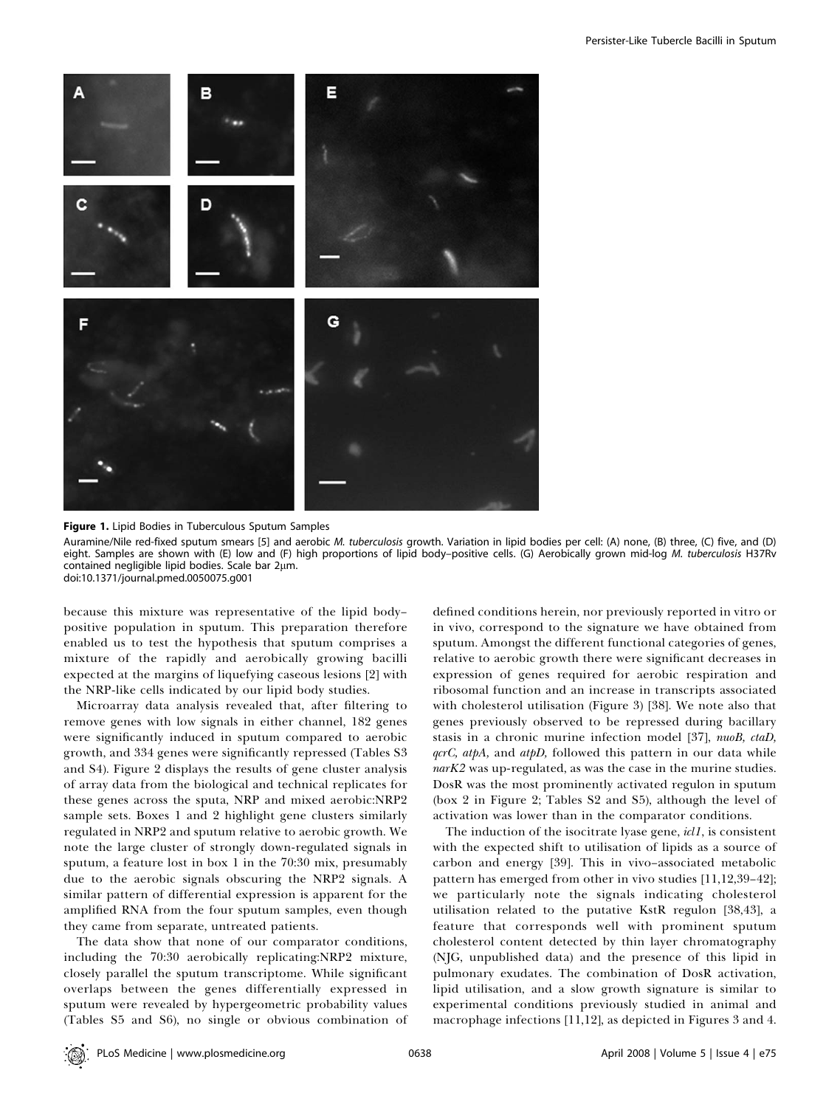

Figure 1. Lipid Bodies in Tuberculous Sputum Samples

Auramine/Nile red-fixed sputum smears [5] and aerobic M. tuberculosis growth. Variation in lipid bodies per cell: (A) none, (B) three, (C) five, and (D) eight. Samples are shown with (E) low and (F) high proportions of lipid body-positive cells. (G) Aerobically grown mid-log M. tuberculosis H37Rv contained negligible lipid bodies. Scale bar 2µm. doi:10.1371/journal.pmed.0050075.g001

because this mixture was representative of the lipid body– positive population in sputum. This preparation therefore enabled us to test the hypothesis that sputum comprises a mixture of the rapidly and aerobically growing bacilli expected at the margins of liquefying caseous lesions [2] with the NRP-like cells indicated by our lipid body studies.

Microarray data analysis revealed that, after filtering to remove genes with low signals in either channel, 182 genes were significantly induced in sputum compared to aerobic growth, and 334 genes were significantly repressed (Tables S3 and S4). Figure 2 displays the results of gene cluster analysis of array data from the biological and technical replicates for these genes across the sputa, NRP and mixed aerobic:NRP2 sample sets. Boxes 1 and 2 highlight gene clusters similarly regulated in NRP2 and sputum relative to aerobic growth. We note the large cluster of strongly down-regulated signals in sputum, a feature lost in box 1 in the 70:30 mix, presumably due to the aerobic signals obscuring the NRP2 signals. A similar pattern of differential expression is apparent for the amplified RNA from the four sputum samples, even though they came from separate, untreated patients.

The data show that none of our comparator conditions, including the 70:30 aerobically replicating:NRP2 mixture, closely parallel the sputum transcriptome. While significant overlaps between the genes differentially expressed in sputum were revealed by hypergeometric probability values (Tables S5 and S6), no single or obvious combination of

defined conditions herein, nor previously reported in vitro or in vivo, correspond to the signature we have obtained from sputum. Amongst the different functional categories of genes, relative to aerobic growth there were significant decreases in expression of genes required for aerobic respiration and ribosomal function and an increase in transcripts associated with cholesterol utilisation (Figure 3) [38]. We note also that genes previously observed to be repressed during bacillary stasis in a chronic murine infection model [37], nuoB, ctaD,  $qcrC$ ,  $atpA$ , and  $atpD$ , followed this pattern in our data while narK2 was up-regulated, as was the case in the murine studies. DosR was the most prominently activated regulon in sputum (box 2 in Figure 2; Tables S2 and S5), although the level of activation was lower than in the comparator conditions.

The induction of the isocitrate lyase gene, *icl1*, is consistent with the expected shift to utilisation of lipids as a source of carbon and energy [39]. This in vivo–associated metabolic pattern has emerged from other in vivo studies [11,12,39–42]; we particularly note the signals indicating cholesterol utilisation related to the putative KstR regulon [38,43], a feature that corresponds well with prominent sputum cholesterol content detected by thin layer chromatography (NJG, unpublished data) and the presence of this lipid in pulmonary exudates. The combination of DosR activation, lipid utilisation, and a slow growth signature is similar to experimental conditions previously studied in animal and macrophage infections [11,12], as depicted in Figures 3 and 4.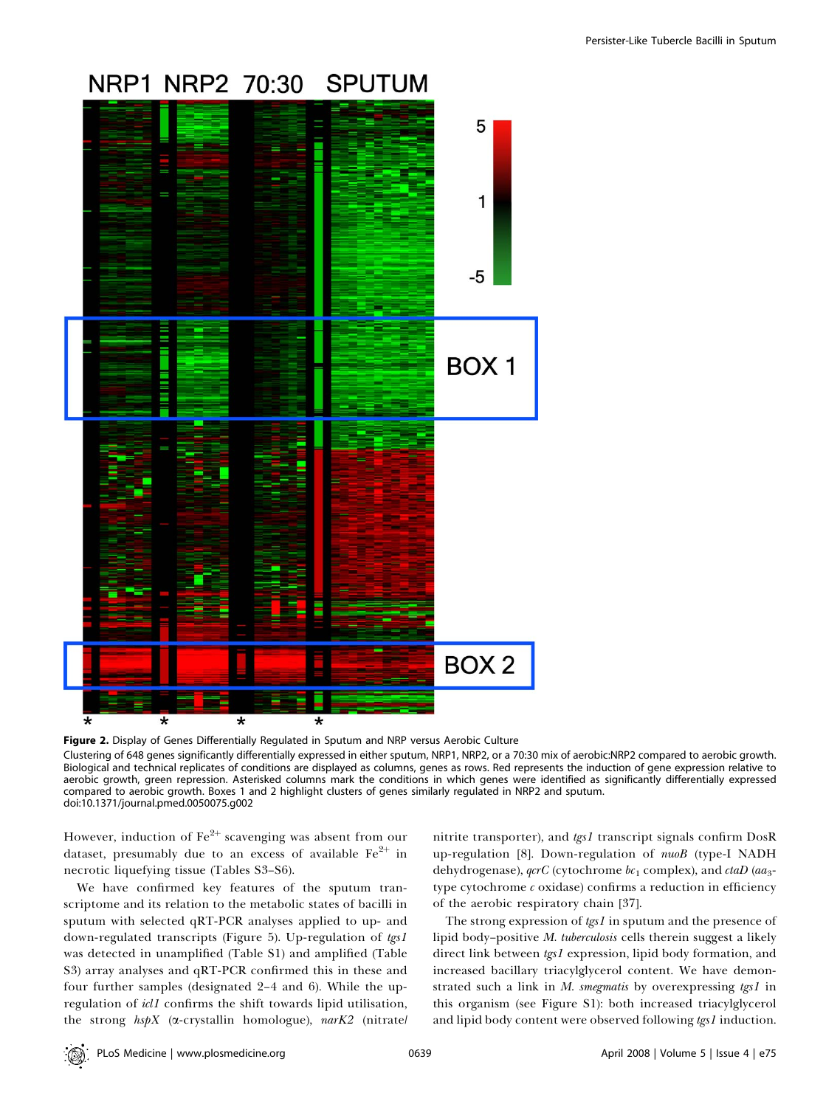



Clustering of 648 genes significantly differentially expressed in either sputum, NRP1, NRP2, or a 70:30 mix of aerobic:NRP2 compared to aerobic growth. Biological and technical replicates of conditions are displayed as columns, genes as rows. Red represents the induction of gene expression relative to aerobic growth, green repression. Asterisked columns mark the conditions in which genes were identified as significantly differentially expressed compared to aerobic growth. Boxes 1 and 2 highlight clusters of genes similarly regulated in NRP2 and sputum. doi:10.1371/journal.pmed.0050075.g002

However, induction of  $Fe^{2+}$  scavenging was absent from our dataset, presumably due to an excess of available  $Fe^{2+}$  in necrotic liquefying tissue (Tables S3–S6).

We have confirmed key features of the sputum transcriptome and its relation to the metabolic states of bacilli in sputum with selected qRT-PCR analyses applied to up- and down-regulated transcripts (Figure 5). Up-regulation of tgs1 was detected in unamplified (Table S1) and amplified (Table S3) array analyses and qRT-PCR confirmed this in these and four further samples (designated 2–4 and 6). While the upregulation of *icl1* confirms the shift towards lipid utilisation, the strong  $hspX$  ( $\alpha$ -crystallin homologue),  $narK2$  (nitrate/

nitrite transporter), and  $tgs1$  transcript signals confirm  $DosR$ up-regulation [8]. Down-regulation of *nuoB* (type-I NADH dehydrogenase),  $qcrC$  (cytochrome  $bc_1$  complex), and  $ctaD$  (aa<sub>3</sub>type cytochrome  $c$  oxidase) confirms a reduction in efficiency of the aerobic respiratory chain [37].

The strong expression of  $tgs1$  in sputum and the presence of lipid body–positive M. tuberculosis cells therein suggest a likely direct link between tgs1 expression, lipid body formation, and increased bacillary triacylglycerol content. We have demonstrated such a link in M. smegmatis by overexpressing tgs1 in this organism (see Figure S1): both increased triacylglycerol and lipid body content were observed following tgs1 induction.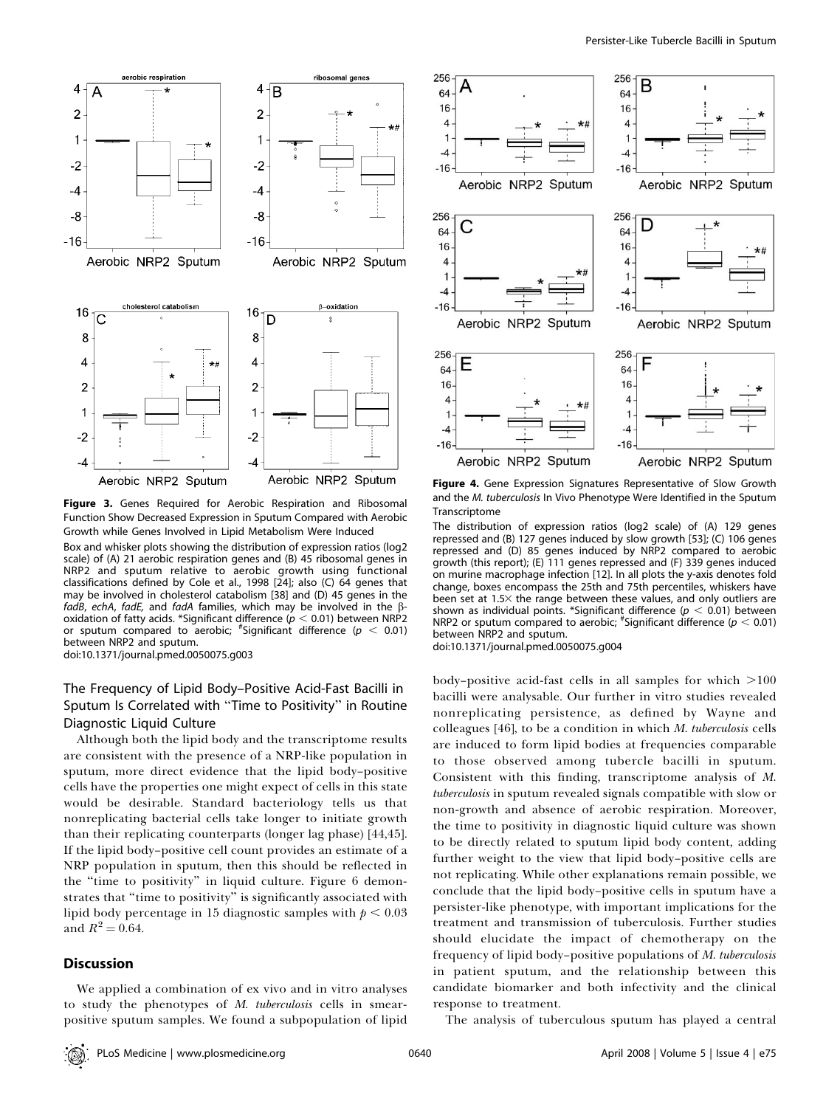

Figure 3. Genes Required for Aerobic Respiration and Ribosomal Function Show Decreased Expression in Sputum Compared with Aerobic Growth while Genes Involved in Lipid Metabolism Were Induced Box and whisker plots showing the distribution of expression ratios (log2

scale) of (A) 21 aerobic respiration genes and (B) 45 ribosomal genes in NRP2 and sputum relative to aerobic growth using functional classifications defined by Cole et al., 1998 [24]; also (C) 64 genes that may be involved in cholesterol catabolism [38] and (D) 45 genes in the fadB, echA, fadE, and fadA families, which may be involved in the  $\beta$ oxidation of fatty acids. \*Significant difference ( $p < 0.01$ ) between NRP2 or sputum compared to aerobic;  $*$ Significant difference ( $p < 0.01$ ) between NRP2 and sputum.

doi:10.1371/journal.pmed.0050075.g003

## The Frequency of Lipid Body–Positive Acid-Fast Bacilli in Sputum Is Correlated with ''Time to Positivity'' in Routine Diagnostic Liquid Culture

Although both the lipid body and the transcriptome results are consistent with the presence of a NRP-like population in sputum, more direct evidence that the lipid body–positive cells have the properties one might expect of cells in this state would be desirable. Standard bacteriology tells us that nonreplicating bacterial cells take longer to initiate growth than their replicating counterparts (longer lag phase) [44,45]. If the lipid body–positive cell count provides an estimate of a NRP population in sputum, then this should be reflected in the ''time to positivity'' in liquid culture. Figure 6 demonstrates that ''time to positivity'' is significantly associated with lipid body percentage in 15 diagnostic samples with  $p < 0.03$ and  $R^2 = 0.64$ .

## **Discussion**

We applied a combination of ex vivo and in vitro analyses to study the phenotypes of M. tuberculosis cells in smearpositive sputum samples. We found a subpopulation of lipid



Figure 4. Gene Expression Signatures Representative of Slow Growth and the M. tuberculosis In Vivo Phenotype Were Identified in the Sputum Transcriptome

The distribution of expression ratios (log2 scale) of (A) 129 genes repressed and (B) 127 genes induced by slow growth [53]; (C) 106 genes repressed and (D) 85 genes induced by NRP2 compared to aerobic growth (this report); (E) 111 genes repressed and (F) 339 genes induced on murine macrophage infection [12]. In all plots the y-axis denotes fold change, boxes encompass the 25th and 75th percentiles, whiskers have been set at  $1.5\times$  the range between these values, and only outliers are shown as individual points. \*Significant difference ( $p < 0.01$ ) between NRP2 or sputum compared to aerobic;  $*$ Significant difference ( $p < 0.01$ ) between NRP2 and sputum.

doi:10.1371/journal.pmed.0050075.g004

body-positive acid-fast cells in all samples for which  $>100$ bacilli were analysable. Our further in vitro studies revealed nonreplicating persistence, as defined by Wayne and colleagues [46], to be a condition in which M. tuberculosis cells are induced to form lipid bodies at frequencies comparable to those observed among tubercle bacilli in sputum. Consistent with this finding, transcriptome analysis of M. tuberculosis in sputum revealed signals compatible with slow or non-growth and absence of aerobic respiration. Moreover, the time to positivity in diagnostic liquid culture was shown to be directly related to sputum lipid body content, adding further weight to the view that lipid body–positive cells are not replicating. While other explanations remain possible, we conclude that the lipid body–positive cells in sputum have a persister-like phenotype, with important implications for the treatment and transmission of tuberculosis. Further studies should elucidate the impact of chemotherapy on the frequency of lipid body–positive populations of M. tuberculosis in patient sputum, and the relationship between this candidate biomarker and both infectivity and the clinical response to treatment.

The analysis of tuberculous sputum has played a central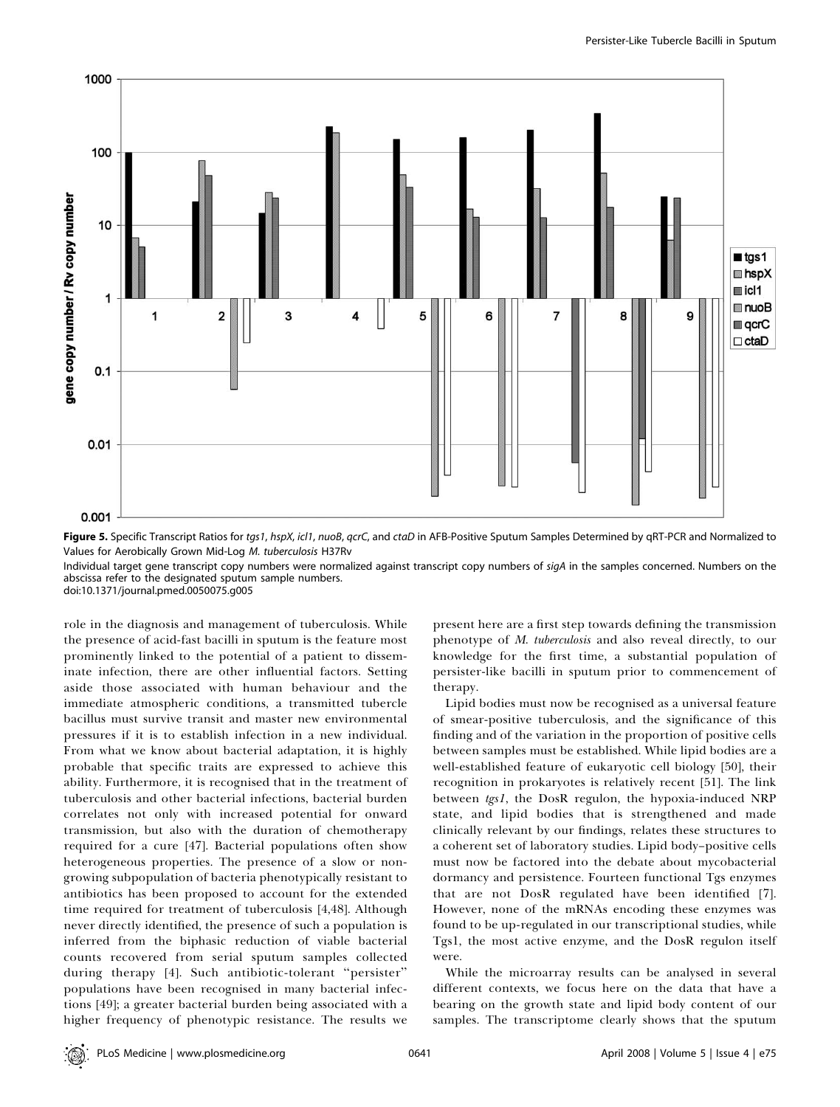

Figure 5. Specific Transcript Ratios for tgs1, hspX, icl1, nuoB, qcrC, and ctaD in AFB-Positive Sputum Samples Determined by qRT-PCR and Normalized to Values for Aerobically Grown Mid-Log M. tuberculosis H37Rv

Individual target gene transcript copy numbers were normalized against transcript copy numbers of sigA in the samples concerned. Numbers on the abscissa refer to the designated sputum sample numbers.

doi:10.1371/journal.pmed.0050075.g005

role in the diagnosis and management of tuberculosis. While the presence of acid-fast bacilli in sputum is the feature most prominently linked to the potential of a patient to disseminate infection, there are other influential factors. Setting aside those associated with human behaviour and the immediate atmospheric conditions, a transmitted tubercle bacillus must survive transit and master new environmental pressures if it is to establish infection in a new individual. From what we know about bacterial adaptation, it is highly probable that specific traits are expressed to achieve this ability. Furthermore, it is recognised that in the treatment of tuberculosis and other bacterial infections, bacterial burden correlates not only with increased potential for onward transmission, but also with the duration of chemotherapy required for a cure [47]. Bacterial populations often show heterogeneous properties. The presence of a slow or nongrowing subpopulation of bacteria phenotypically resistant to antibiotics has been proposed to account for the extended time required for treatment of tuberculosis [4,48]. Although never directly identified, the presence of such a population is inferred from the biphasic reduction of viable bacterial counts recovered from serial sputum samples collected during therapy [4]. Such antibiotic-tolerant ''persister'' populations have been recognised in many bacterial infections [49]; a greater bacterial burden being associated with a higher frequency of phenotypic resistance. The results we

present here are a first step towards defining the transmission phenotype of M. tuberculosis and also reveal directly, to our knowledge for the first time, a substantial population of persister-like bacilli in sputum prior to commencement of therapy.

Lipid bodies must now be recognised as a universal feature of smear-positive tuberculosis, and the significance of this finding and of the variation in the proportion of positive cells between samples must be established. While lipid bodies are a well-established feature of eukaryotic cell biology [50], their recognition in prokaryotes is relatively recent [51]. The link between tgs1, the DosR regulon, the hypoxia-induced NRP state, and lipid bodies that is strengthened and made clinically relevant by our findings, relates these structures to a coherent set of laboratory studies. Lipid body–positive cells must now be factored into the debate about mycobacterial dormancy and persistence. Fourteen functional Tgs enzymes that are not DosR regulated have been identified [7]. However, none of the mRNAs encoding these enzymes was found to be up-regulated in our transcriptional studies, while Tgs1, the most active enzyme, and the DosR regulon itself were.

While the microarray results can be analysed in several different contexts, we focus here on the data that have a bearing on the growth state and lipid body content of our samples. The transcriptome clearly shows that the sputum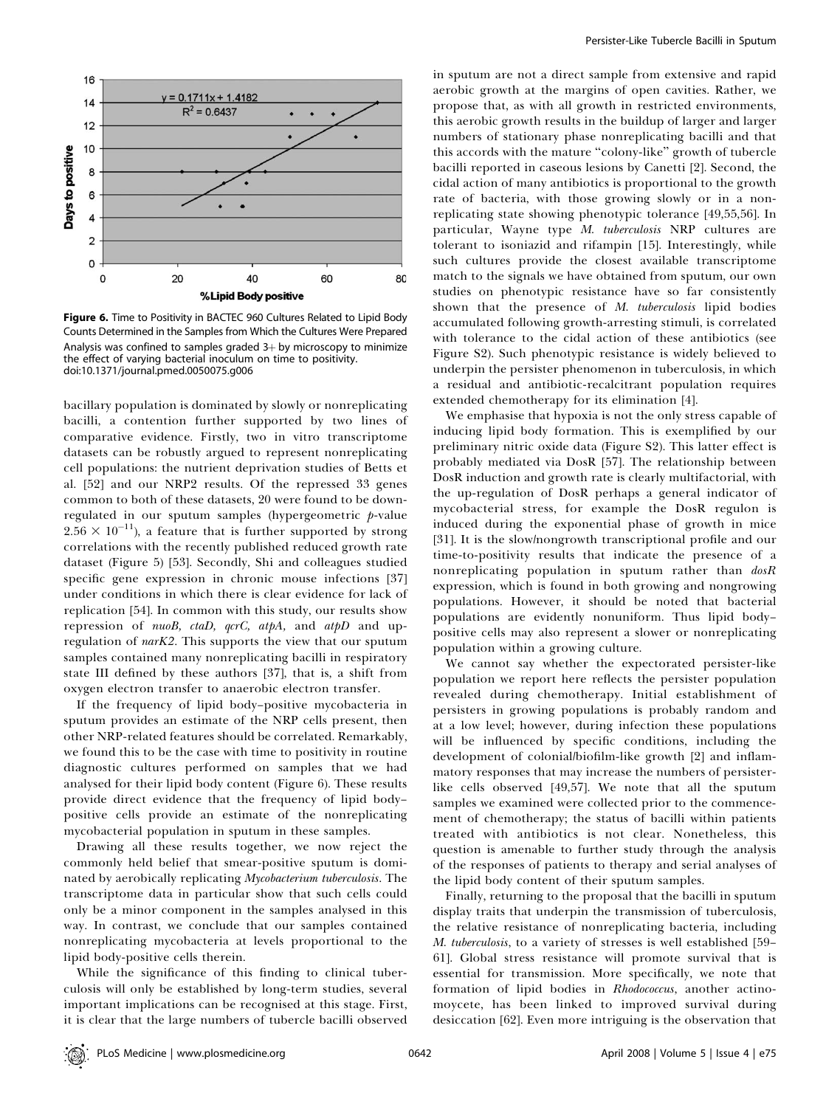

Figure 6. Time to Positivity in BACTEC 960 Cultures Related to Lipid Body Counts Determined in the Samples from Which the Cultures Were Prepared Analysis was confined to samples graded  $3+$  by microscopy to minimize the effect of varying bacterial inoculum on time to positivity. doi:10.1371/journal.pmed.0050075.g006

bacillary population is dominated by slowly or nonreplicating bacilli, a contention further supported by two lines of comparative evidence. Firstly, two in vitro transcriptome datasets can be robustly argued to represent nonreplicating cell populations: the nutrient deprivation studies of Betts et al. [52] and our NRP2 results. Of the repressed 33 genes common to both of these datasets, 20 were found to be downregulated in our sputum samples (hypergeometric  $p$ -value  $2.56 \times 10^{-11}$ ), a feature that is further supported by strong correlations with the recently published reduced growth rate dataset (Figure 5) [53]. Secondly, Shi and colleagues studied specific gene expression in chronic mouse infections [37] under conditions in which there is clear evidence for lack of replication [54]. In common with this study, our results show repression of *nuoB*,  $ctaD$ ,  $qcrC$ ,  $atpA$ , and  $atpD$  and upregulation of *narK2*. This supports the view that our sputum samples contained many nonreplicating bacilli in respiratory state III defined by these authors [37], that is, a shift from oxygen electron transfer to anaerobic electron transfer.

If the frequency of lipid body–positive mycobacteria in sputum provides an estimate of the NRP cells present, then other NRP-related features should be correlated. Remarkably, we found this to be the case with time to positivity in routine diagnostic cultures performed on samples that we had analysed for their lipid body content (Figure 6). These results provide direct evidence that the frequency of lipid body– positive cells provide an estimate of the nonreplicating mycobacterial population in sputum in these samples.

Drawing all these results together, we now reject the commonly held belief that smear-positive sputum is dominated by aerobically replicating Mycobacterium tuberculosis. The transcriptome data in particular show that such cells could only be a minor component in the samples analysed in this way. In contrast, we conclude that our samples contained nonreplicating mycobacteria at levels proportional to the lipid body-positive cells therein.

While the significance of this finding to clinical tuberculosis will only be established by long-term studies, several important implications can be recognised at this stage. First, it is clear that the large numbers of tubercle bacilli observed

in sputum are not a direct sample from extensive and rapid aerobic growth at the margins of open cavities. Rather, we propose that, as with all growth in restricted environments, this aerobic growth results in the buildup of larger and larger numbers of stationary phase nonreplicating bacilli and that this accords with the mature ''colony-like'' growth of tubercle bacilli reported in caseous lesions by Canetti [2]. Second, the cidal action of many antibiotics is proportional to the growth rate of bacteria, with those growing slowly or in a nonreplicating state showing phenotypic tolerance [49,55,56]. In particular, Wayne type M. tuberculosis NRP cultures are tolerant to isoniazid and rifampin [15]. Interestingly, while such cultures provide the closest available transcriptome match to the signals we have obtained from sputum, our own studies on phenotypic resistance have so far consistently shown that the presence of M. tuberculosis lipid bodies accumulated following growth-arresting stimuli, is correlated with tolerance to the cidal action of these antibiotics (see Figure S2). Such phenotypic resistance is widely believed to underpin the persister phenomenon in tuberculosis, in which a residual and antibiotic-recalcitrant population requires extended chemotherapy for its elimination [4].

We emphasise that hypoxia is not the only stress capable of inducing lipid body formation. This is exemplified by our preliminary nitric oxide data (Figure S2). This latter effect is probably mediated via DosR [57]. The relationship between DosR induction and growth rate is clearly multifactorial, with the up-regulation of DosR perhaps a general indicator of mycobacterial stress, for example the DosR regulon is induced during the exponential phase of growth in mice [31]. It is the slow/nongrowth transcriptional profile and our time-to-positivity results that indicate the presence of a nonreplicating population in sputum rather than dosR expression, which is found in both growing and nongrowing populations. However, it should be noted that bacterial populations are evidently nonuniform. Thus lipid body– positive cells may also represent a slower or nonreplicating population within a growing culture.

We cannot say whether the expectorated persister-like population we report here reflects the persister population revealed during chemotherapy. Initial establishment of persisters in growing populations is probably random and at a low level; however, during infection these populations will be influenced by specific conditions, including the development of colonial/biofilm-like growth [2] and inflammatory responses that may increase the numbers of persisterlike cells observed [49,57]. We note that all the sputum samples we examined were collected prior to the commencement of chemotherapy; the status of bacilli within patients treated with antibiotics is not clear. Nonetheless, this question is amenable to further study through the analysis of the responses of patients to therapy and serial analyses of the lipid body content of their sputum samples.

Finally, returning to the proposal that the bacilli in sputum display traits that underpin the transmission of tuberculosis, the relative resistance of nonreplicating bacteria, including M. tuberculosis, to a variety of stresses is well established [59– 61]. Global stress resistance will promote survival that is essential for transmission. More specifically, we note that formation of lipid bodies in Rhodococcus, another actinomoycete, has been linked to improved survival during desiccation [62]. Even more intriguing is the observation that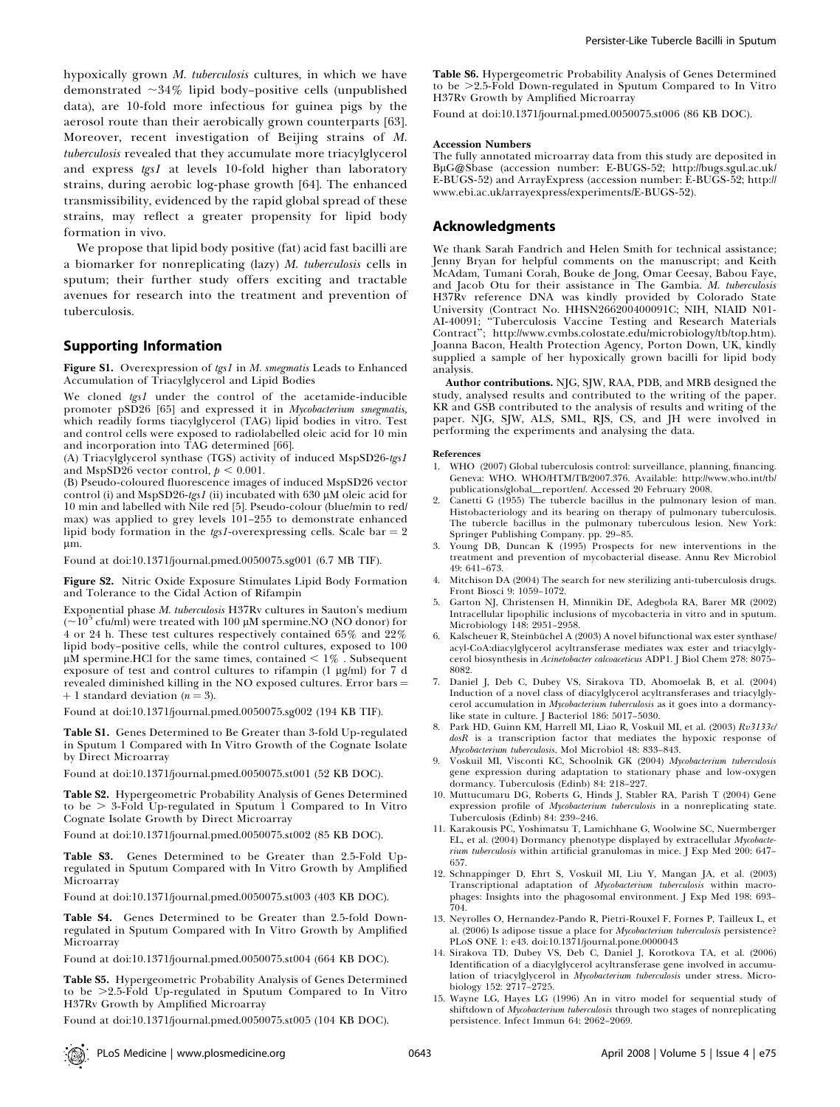hypoxically grown M. tuberculosis cultures, in which we have demonstrated  $\sim$ 34% lipid body–positive cells (unpublished data), are 10-fold more infectious for guinea pigs by the aerosol route than their aerobically grown counterparts [63]. Moreover, recent investigation of Beijing strains of M. tuberculosis revealed that they accumulate more triacylglycerol and express tgs1 at levels 10-fold higher than laboratory strains, during aerobic log-phase growth [64]. The enhanced transmissibility, evidenced by the rapid global spread of these strains, may reflect a greater propensity for lipid body formation in vivo.

We propose that lipid body positive (fat) acid fast bacilli are a biomarker for nonreplicating (lazy) M. tuberculosis cells in sputum; their further study offers exciting and tractable avenues for research into the treatment and prevention of tuberculosis.

## Supporting Information

Figure S1. Overexpression of tgs1 in M. smegmatis Leads to Enhanced Accumulation of Triacylglycerol and Lipid Bodies

We cloned tgs1 under the control of the acetamide-inducible promoter pSD26 [65] and expressed it in Mycobacterium smegmatis, which readily forms tiacylglycerol (TAG) lipid bodies in vitro. Test and control cells were exposed to radiolabelled oleic acid for 10 min and incorporation into TAG determined [66].

(A) Triacylglycerol synthase (TGS) activity of induced MspSD26-tgs1 and MspSD26 vector control,  $p < 0.001$ .

(B) Pseudo-coloured fluorescence images of induced MspSD26 vector control (i) and MspSD26-tgs1 (ii) incubated with 630  $\mu$ M oleic acid for 10 min and labelled with Nile red [5]. Pseudo-colour (blue/min to red/ max) was applied to grey levels 101–255 to demonstrate enhanced lipid body formation in the  $tgs1$ -overexpressing cells. Scale bar = 2 lm.

Found at doi:10.1371/journal.pmed.0050075.sg001 (6.7 MB TIF).

Figure S2. Nitric Oxide Exposure Stimulates Lipid Body Formation and Tolerance to the Cidal Action of Rifampin

Exponential phase M. tuberculosis H37Rv cultures in Sauton's medium  $\sim$ 10<sup>5</sup> cfu/ml) were treated with 100 µM spermine.NO (NO donor) for 4 or 24 h. These test cultures respectively contained 65% and 22% lipid body–positive cells, while the control cultures, exposed to 100  $\mu$ M spermine.HCl for the same times, contained  $< 1\%$  . Subsequent exposure of test and control cultures to rifampin  $(1 \mu g/ml)$  for  $7 d$ revealed diminished killing in the NO exposed cultures. Error bars  $=$  $+1$  standard deviation ( $n = 3$ ).

Found at doi:10.1371/journal.pmed.0050075.sg002 (194 KB TIF).

Table S1. Genes Determined to Be Greater than 3-fold Up-regulated in Sputum 1 Compared with In Vitro Growth of the Cognate Isolate by Direct Microarray

Found at doi:10.1371/journal.pmed.0050075.st001 (52 KB DOC).

Table S2. Hypergeometric Probability Analysis of Genes Determined to be  $>$  3-Fold Up-regulated in Sputum 1 Compared to In Vitro Cognate Isolate Growth by Direct Microarray

Found at doi:10.1371/journal.pmed.0050075.st002 (85 KB DOC).

Table S3. Genes Determined to be Greater than 2.5-Fold Upregulated in Sputum Compared with In Vitro Growth by Amplified Microarray

Found at doi:10.1371/journal.pmed.0050075.st003 (403 KB DOC).

Table S4. Genes Determined to be Greater than 2.5-fold Downregulated in Sputum Compared with In Vitro Growth by Amplified Microarray

Found at doi:10.1371/journal.pmed.0050075.st004 (664 KB DOC).

Table S5. Hypergeometric Probability Analysis of Genes Determined to be  $\geq$ 2.5-Fold Up-regulated in Sputum Compared to In Vitro H37Rv Growth by Amplified Microarray

Found at doi:10.1371/journal.pmed.0050075.st005 (104 KB DOC).

Table S6. Hypergeometric Probability Analysis of Genes Determined to be  $\geq$ 2.5-Fold Down-regulated in Sputum Compared to In Vitro H37Rv Growth by Amplified Microarray

Found at doi:10.1371/journal.pmed.0050075.st006 (86 KB DOC).

#### Accession Numbers

The fully annotated microarray data from this study are deposited in BlG@Sbase (accession number: E-BUGS-52; http://bugs.sgul.ac.uk/ E-BUGS-52) and ArrayExpress (accession number: E-BUGS-52; http:// www.ebi.ac.uk/arrayexpress/experiments/E-BUGS-52).

## Acknowledgments

We thank Sarah Fandrich and Helen Smith for technical assistance; Jenny Bryan for helpful comments on the manuscript; and Keith McAdam, Tumani Corah, Bouke de Jong, Omar Ceesay, Babou Faye, and Jacob Otu for their assistance in The Gambia. M. tuberculosis H37Rv reference DNA was kindly provided by Colorado State University (Contract No. HHSN266200400091C; NIH, NIAID N01- AI-40091; ''Tuberculosis Vaccine Testing and Research Materials Contract''; http://www.cvmbs.colostate.edu/microbiology/tb/top.htm). Joanna Bacon, Health Protection Agency, Porton Down, UK, kindly supplied a sample of her hypoxically grown bacilli for lipid body analysis.

Author contributions. NJG, SJW, RAA, PDB, and MRB designed the study, analysed results and contributed to the writing of the paper. KR and GSB contributed to the analysis of results and writing of the paper. NJG, SJW, ALS, SML, RJS, CS, and JH were involved in performing the experiments and analysing the data.

#### References

- 1. WHO (2007) Global tuberculosis control: surveillance, planning, financing. Geneva: WHO. WHO/HTM/TB/2007.376. Available: http://www.who.int/tb/ publications/global\_report/en/. Accessed 20 February 2008.
- 2. Canetti G (1955) The tubercle bacillus in the pulmonary lesion of man. Histobacteriology and its bearing on therapy of pulmonary tuberculosis. The tubercle bacillus in the pulmonary tuberculous lesion. New York: Springer Publishing Company. pp. 29–85.
- 3. Young DB, Duncan K (1995) Prospects for new interventions in the treatment and prevention of mycobacterial disease. Annu Rev Microbiol 49: 641–673.
- 4. Mitchison DA (2004) The search for new sterilizing anti-tuberculosis drugs. Front Biosci 9: 1059–1072.
- 5. Garton NJ, Christensen H, Minnikin DE, Adegbola RA, Barer MR (2002) Intracellular lipophilic inclusions of mycobacteria in vitro and in sputum. Microbiology 148: 2951–2958.
- 6. Kalscheuer R, Steinbüchel A (2003) A novel bifunctional wax ester synthase/ acyl-CoA:diacylglycerol acyltransferase mediates wax ester and triacylglycerol biosynthesis in Acinetobacter calcoaceticus ADP1. J Biol Chem 278: 8075– 8082.
- 7. Daniel J, Deb C, Dubey VS, Sirakova TD, Abomoelak B, et al. (2004) Induction of a novel class of diacylglycerol acyltransferases and triacylglycerol accumulation in Mycobacterium tuberculosis as it goes into a dormancylike state in culture. J Bacteriol 186: 5017–5030.
- 8. Park HD, Guinn KM, Harrell MI, Liao R, Voskuil MI, et al. (2003) Rv3133c/ dosR is a transcription factor that mediates the hypoxic response of Mycobacterium tuberculosis. Mol Microbiol 48: 833–843.
- 9. Voskuil MI, Visconti KC, Schoolnik GK (2004) Mycobacterium tuberculosis gene expression during adaptation to stationary phase and low-oxygen dormancy. Tuberculosis (Edinb) 84: 218–227.
- 10. Muttucumaru DG, Roberts G, Hinds J, Stabler RA, Parish T (2004) Gene expression profile of Mycobacterium tuberculosis in a nonreplicating state. Tuberculosis (Edinb) 84: 239–246.
- 11. Karakousis PC, Yoshimatsu T, Lamichhane G, Woolwine SC, Nuermberger EL, et al. (2004) Dormancy phenotype displayed by extracellular Mycobacterium tuberculosis within artificial granulomas in mice. J Exp Med 200: 647– 657.
- 12. Schnappinger D, Ehrt S, Voskuil MI, Liu Y, Mangan JA, et al. (2003) Transcriptional adaptation of Mycobacterium tuberculosis within macrophages: Insights into the phagosomal environment. J Exp Med 198: 693– 704.
- 13. Neyrolles O, Hernandez-Pando R, Pietri-Rouxel F, Fornes P, Tailleux L, et al. (2006) Is adipose tissue a place for *Mycobacterium tuberculosis* persistence?<br>PLoS ONE 1: e43. doi:10.1371/journal.pone.0000043
- 14. Sirakova TD, Dubey VS, Deb C, Daniel J, Korotkova TA, et al. (2006) Identification of a diacylglycerol acyltransferase gene involved in accumulation of triacylglycerol in Mycobacterium tuberculosis under stress. Microbiology 152: 2717–2725.
- 15. Wayne LG, Hayes LG (1996) An in vitro model for sequential study of shiftdown of Mycobacterium tuberculosis through two stages of nonreplicating persistence. Infect Immun 64: 2062–2069.

PLoS Medicine | www.plosmedicine.org April 2008 | Volume 5 | Issue 4 | e75 0643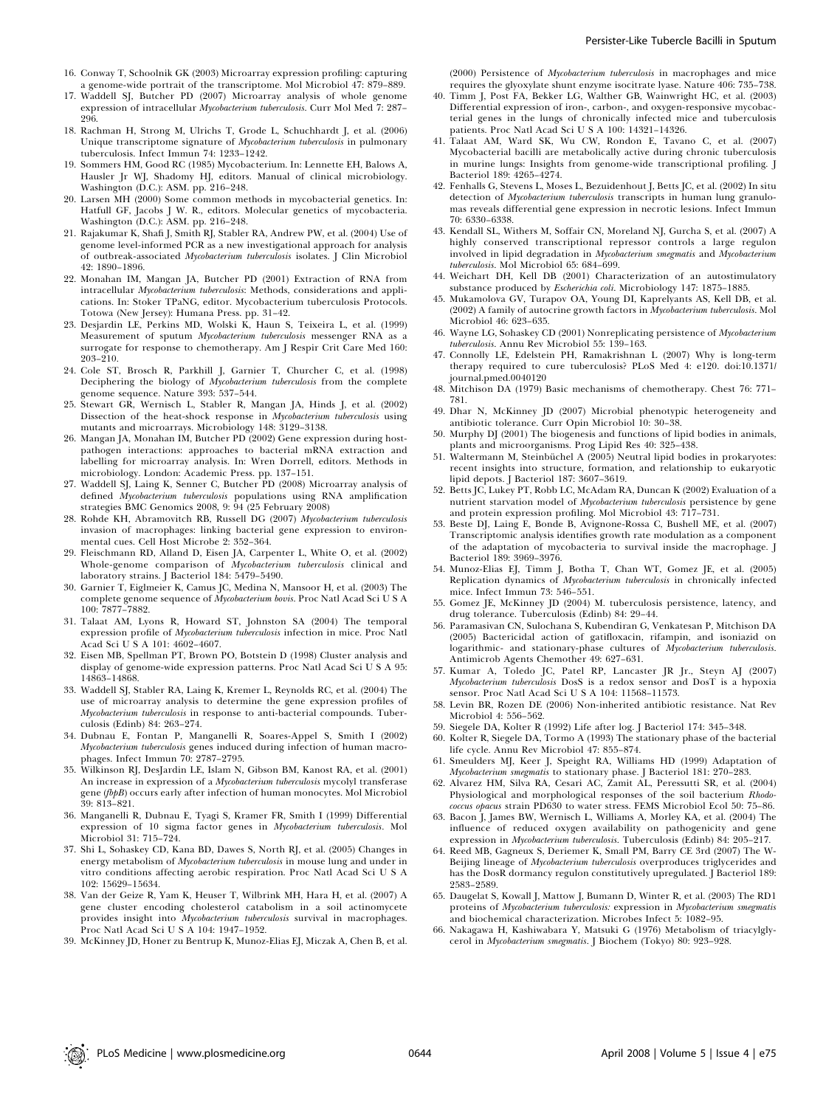- 16. Conway T, Schoolnik GK (2003) Microarray expression profiling: capturing a genome-wide portrait of the transcriptome. Mol Microbiol 47: 879–889.
- 17. Waddell SJ, Butcher PD (2007) Microarray analysis of whole genome expression of intracellular Mycobacterium tuberculosis. Curr Mol Med 7: 287– 296.
- 18. Rachman H, Strong M, Ulrichs T, Grode L, Schuchhardt J, et al. (2006) Unique transcriptome signature of Mycobacterium tuberculosis in pulmonary tuberculosis. Infect Immun 74: 1233–1242.
- 19. Sommers HM, Good RC (1985) Mycobacterium. In: Lennette EH, Balows A, Hausler Jr WJ, Shadomy HJ, editors. Manual of clinical microbiology. Washington (D.C.): ASM. pp. 216–248.
- 20. Larsen MH (2000) Some common methods in mycobacterial genetics. In: Hatfull GF, Jacobs J W. R., editors. Molecular genetics of mycobacteria. Washington (D.C.): ASM. pp. 216–248.
- 21. Rajakumar K, Shafi J, Smith RJ, Stabler RA, Andrew PW, et al. (2004) Use of genome level-informed PCR as a new investigational approach for analysis of outbreak-associated Mycobacterium tuberculosis isolates. J Clin Microbiol 42: 1890–1896.
- 22. Monahan IM, Mangan JA, Butcher PD (2001) Extraction of RNA from intracellular Mycobacterium tuberculosis: Methods, considerations and applications. In: Stoker TPaNG, editor. Mycobacterium tuberculosis Protocols. Totowa (New Jersey): Humana Press. pp. 31–42.
- 23. Desjardin LE, Perkins MD, Wolski K, Haun S, Teixeira L, et al. (1999) Measurement of sputum Mycobacterium tuberculosis messenger RNA as a surrogate for response to chemotherapy. Am J Respir Crit Care Med 160: 203–210.
- 24. Cole ST, Brosch R, Parkhill J, Garnier T, Churcher C, et al. (1998) Deciphering the biology of Mycobacterium tuberculosis from the complete genome sequence. Nature 393: 537–544.
- 25. Stewart GR, Wernisch L, Stabler R, Mangan JA, Hinds J, et al. (2002) Dissection of the heat-shock response in Mycobacterium tuberculosis using mutants and microarrays. Microbiology 148: 3129–3138.
- 26. Mangan JA, Monahan IM, Butcher PD (2002) Gene expression during hostpathogen interactions: approaches to bacterial mRNA extraction and labelling for microarray analysis. In: Wren Dorrell, editors. Methods in microbiology. London: Academic Press. pp. 137–151.
- 27. Waddell SJ, Laing K, Senner C, Butcher PD (2008) Microarray analysis of defined Mycobacterium tuberculosis populations using RNA amplification strategies BMC Genomics 2008, 9: 94 (25 February 2008)
- 28. Rohde KH, Abramovitch RB, Russell DG (2007) Mycobacterium tuberculosis invasion of macrophages: linking bacterial gene expression to environmental cues. Cell Host Microbe 2: 352–364.
- 29. Fleischmann RD, Alland D, Eisen JA, Carpenter L, White O, et al. (2002) Whole-genome comparison of Mycobacterium tuberculosis clinical and laboratory strains. J Bacteriol 184: 5479–5490.
- 30. Garnier T, Eiglmeier K, Camus JC, Medina N, Mansoor H, et al. (2003) The complete genome sequence of Mycobacterium bovis. Proc Natl Acad Sci U S A 100: 7877–7882.
- 31. Talaat AM, Lyons R, Howard ST, Johnston SA (2004) The temporal expression profile of Mycobacterium tuberculosis infection in mice. Proc Natl Acad Sci U S A 101: 4602–4607.
- 32. Eisen MB, Spellman PT, Brown PO, Botstein D (1998) Cluster analysis and display of genome-wide expression patterns. Proc Natl Acad Sci U S A 95: 14863–14868.
- 33. Waddell SJ, Stabler RA, Laing K, Kremer L, Reynolds RC, et al. (2004) The use of microarray analysis to determine the gene expression profiles of Mycobacterium tuberculosis in response to anti-bacterial compounds. Tuberculosis (Edinb) 84: 263–274.
- 34. Dubnau E, Fontan P, Manganelli R, Soares-Appel S, Smith I (2002) Mycobacterium tuberculosis genes induced during infection of human macrophages. Infect Immun 70: 2787–2795.
- 35. Wilkinson RJ, DesJardin LE, Islam N, Gibson BM, Kanost RA, et al. (2001) An increase in expression of a Mycobacterium tuberculosis mycolyl transferase gene (fbpB) occurs early after infection of human monocytes. Mol Microbiol 39: 813–821.
- 36. Manganelli R, Dubnau E, Tyagi S, Kramer FR, Smith I (1999) Differential expression of 10 sigma factor genes in Mycobacterium tuberculosis. Mol Microbiol 31: 715–724.
- 37. Shi L, Sohaskey CD, Kana BD, Dawes S, North RJ, et al. (2005) Changes in energy metabolism of *Mycobacterium tuberculosis* in mouse lung and under in vitro conditions affecting aerobic respiration. Proc Natl Acad Sci U S A 102: 15629–15634.
- 38. Van der Geize R, Yam K, Heuser T, Wilbrink MH, Hara H, et al. (2007) A gene cluster encoding cholesterol catabolism in a soil actinomycete provides insight into Mycobacterium tuberculosis survival in macrophages. Proc Natl Acad Sci U S A 104: 1947–1952.
- 39. McKinney JD, Honer zu Bentrup K, Munoz-Elias EJ, Miczak A, Chen B, et al.

Persister-Like Tubercle Bacilli in Sputum

(2000) Persistence of Mycobacterium tuberculosis in macrophages and mice requires the glyoxylate shunt enzyme isocitrate lyase. Nature 406: 735–738.

- 40. Timm J, Post FA, Bekker LG, Walther GB, Wainwright HC, et al. (2003) Differential expression of iron-, carbon-, and oxygen-responsive mycobacterial genes in the lungs of chronically infected mice and tuberculosis patients. Proc Natl Acad Sci U S A 100: 14321–14326.
- 41. Talaat AM, Ward SK, Wu CW, Rondon E, Tavano C, et al. (2007) Mycobacterial bacilli are metabolically active during chronic tuberculosis in murine lungs: Insights from genome-wide transcriptional profiling. J Bacteriol 189: 4265–4274.
- 42. Fenhalls G, Stevens L, Moses L, Bezuidenhout J, Betts JC, et al. (2002) In situ detection of Mycobacterium tuberculosis transcripts in human lung granulomas reveals differential gene expression in necrotic lesions. Infect Immun 70: 6330–6338.
- 43. Kendall SL, Withers M, Soffair CN, Moreland NJ, Gurcha S, et al. (2007) A highly conserved transcriptional repressor controls a large regulon involved in lipid degradation in Mycobacterium smegmatis and Mycobacterium tuberculosis. Mol Microbiol 65: 684–699.
- 44. Weichart DH, Kell DB (2001) Characterization of an autostimulatory substance produced by Escherichia coli. Microbiology 147: 1875-1885.
- 45. Mukamolova GV, Turapov OA, Young DI, Kaprelyants AS, Kell DB, et al. (2002) A family of autocrine growth factors in Mycobacterium tuberculosis. Mol Microbiol 46: 623–635.
- 46. Wayne LG, Sohaskey CD (2001) Nonreplicating persistence of Mycobacterium tuberculosis. Annu Rev Microbiol 55: 139–163.
- 47. Connolly LE, Edelstein PH, Ramakrishnan L (2007) Why is long-term therapy required to cure tuberculosis? PLoS Med 4: e120. doi:10.1371/ journal.pmed.0040120
- 48. Mitchison DA (1979) Basic mechanisms of chemotherapy. Chest 76: 771– 781.
- 49. Dhar N, McKinney JD (2007) Microbial phenotypic heterogeneity and antibiotic tolerance. Curr Opin Microbiol 10: 30–38.
- 50. Murphy DJ (2001) The biogenesis and functions of lipid bodies in animals, plants and microorganisms. Prog Lipid Res 40: 325–438.
- 51. Waltermann M, Steinbüchel A (2005) Neutral lipid bodies in prokaryotes: recent insights into structure, formation, and relationship to eukaryotic lipid depots. J Bacteriol 187: 3607–3619.
- 52. Betts JC, Lukey PT, Robb LC, McAdam RA, Duncan K (2002) Evaluation of a nutrient starvation model of Mycobacterium tuberculosis persistence by gene and protein expression profiling. Mol Microbiol 43: 717–731.
- 53. Beste DJ, Laing E, Bonde B, Avignone-Rossa C, Bushell ME, et al. (2007) Transcriptomic analysis identifies growth rate modulation as a component of the adaptation of mycobacteria to survival inside the macrophage. J Bacteriol 189: 3969–3976.
- 54. Munoz-Elias EJ, Timm J, Botha T, Chan WT, Gomez JE, et al. (2005) Replication dynamics of Mycobacterium tuberculosis in chronically infected mice. Infect Immun 73: 546–551.
- 55. Gomez JE, McKinney JD (2004) M. tuberculosis persistence, latency, and drug tolerance. Tuberculosis (Edinb) 84: 29–44.
- 56. Paramasivan CN, Sulochana S, Kubendiran G, Venkatesan P, Mitchison DA (2005) Bactericidal action of gatifloxacin, rifampin, and isoniazid on logarithmic- and stationary-phase cultures of Mycobacterium tuberculosis. Antimicrob Agents Chemother 49: 627–631.
- 57. Kumar A, Toledo JC, Patel RP, Lancaster JR Jr., Steyn AJ (2007) Mycobacterium tuberculosis DosS is a redox sensor and DosT is a hypoxia sensor. Proc Natl Acad Sci U S A 104: 11568–11573.
- 58. Levin BR, Rozen DE (2006) Non-inherited antibiotic resistance. Nat Rev Microbiol 4: 556–562.
- 59. Siegele DA, Kolter R (1992) Life after log. J Bacteriol 174: 345–348.
- 60. Kolter R, Siegele DA, Tormo A (1993) The stationary phase of the bacterial life cycle. Annu Rev Microbiol 47: 855–874.
- 61. Smeulders MJ, Keer J, Speight RA, Williams HD (1999) Adaptation of Mycobacterium smegmatis to stationary phase. J Bacteriol 181: 270–283.
- 62. Alvarez HM, Silva RA, Cesari AC, Zamit AL, Peressutti SR, et al. (2004) Physiological and morphological responses of the soil bacterium Rhodococcus opacus strain PD630 to water stress. FEMS Microbiol Ecol 50: 75–86.
- 63. Bacon J, James BW, Wernisch L, Williams A, Morley KA, et al. (2004) The influence of reduced oxygen availability on pathogenicity and gene expression in Mycobacterium tuberculosis. Tuberculosis (Edinb) 84: 205-217.
- 64. Reed MB, Gagneux S, Deriemer K, Small PM, Barry CE 3rd (2007) The W-Beijing lineage of Mycobacterium tuberculosis overproduces triglycerides and has the DosR dormancy regulon constitutively upregulated. J Bacteriol 189: 2583–2589.
- 65. Daugelat S, Kowall J, Mattow J, Bumann D, Winter R, et al. (2003) The RD1 proteins of Mycobacterium tuberculosis: expression in Mycobacterium smegmatis and biochemical characterization. Microbes Infect 5: 1082–95.
- 66. Nakagawa H, Kashiwabara Y, Matsuki G (1976) Metabolism of triacylglycerol in Mycobacterium smegmatis. J Biochem (Tokyo) 80: 923–928.